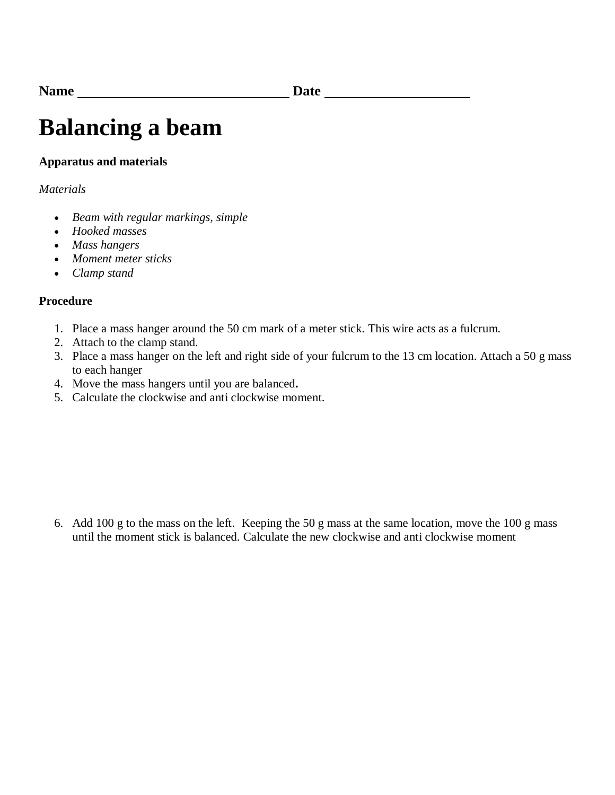## **Balancing a beam**

## **Apparatus and materials**

## *Materials*

- *Beam with regular markings, simple*
- *Hooked masses*
- *Mass hangers*
- *Moment meter sticks*
- *Clamp stand*

## **Procedure**

- 1. Place a mass hanger around the 50 cm mark of a meter stick. This wire acts as a fulcrum.
- 2. Attach to the clamp stand.
- 3. Place a mass hanger on the left and right side of your fulcrum to the 13 cm location. Attach a 50 g mass to each hanger
- 4. Move the mass hangers until you are balanced**.**
- 5. Calculate the clockwise and anti clockwise moment.

6. Add 100 g to the mass on the left. Keeping the 50 g mass at the same location, move the 100 g mass until the moment stick is balanced. Calculate the new clockwise and anti clockwise moment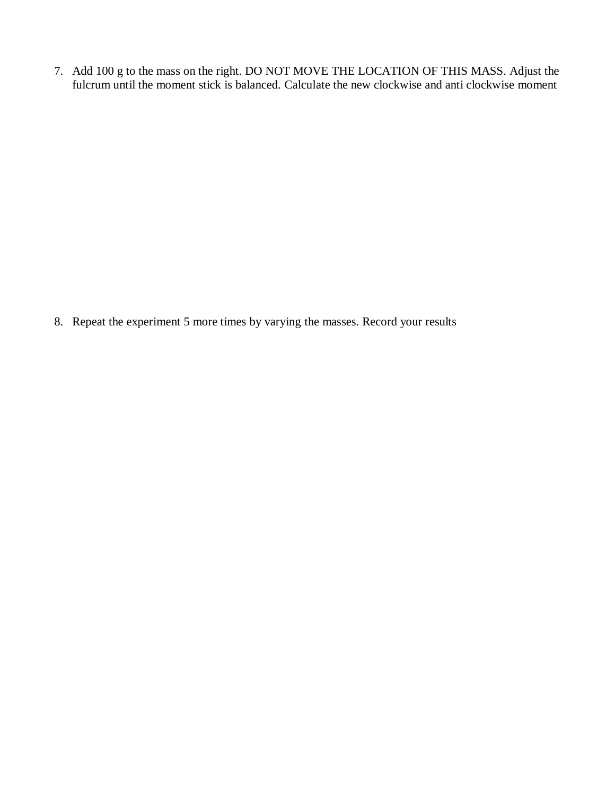7. Add 100 g to the mass on the right. DO NOT MOVE THE LOCATION OF THIS MASS. Adjust the fulcrum until the moment stick is balanced. Calculate the new clockwise and anti clockwise moment

8. Repeat the experiment 5 more times by varying the masses. Record your results